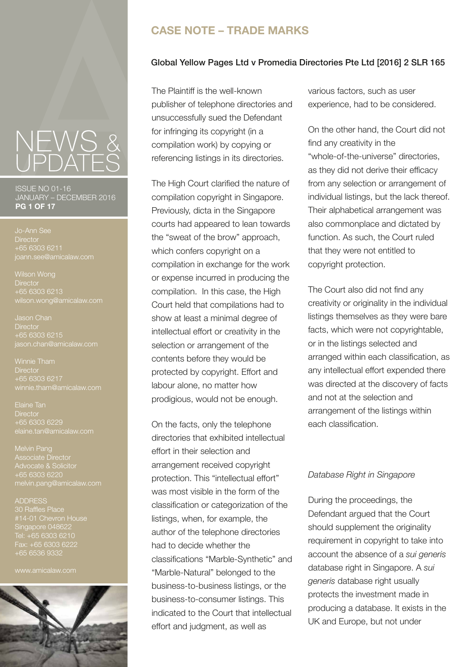ISSUE NO 01-16 JANUARY – DECEMBER 2016 **PG 1 OF 17**

**Director** +65 6303 6211 joann.see@amicalaw.com

**Director**  $+65$  6303 6213 wilson.wong@amicalaw.com

Jason Chan **Director** +65 6303 6215 jason.chan@amicalaw.com

**Director** +65 6303 6217

Elaine Tan **Director** +65 6303 6229 elaine.tan@amicalaw.com

Melvin Pang Associate Director melvin.pang@amicalaw.com

#### ADDRESS 30 Raffles Place Singapore 048622 Tel: +65 6303 6210 Fax: +65 6303 6222 +65 6536 9332

www.amicalaw.com



### **CASE NOTE – TRADE MARKS**

### Global Yellow Pages Ltd v Promedia Directories Pte Ltd [2016] 2 SLR 165

The Plaintiff is the well-known publisher of telephone directories and unsuccessfully sued the Defendant for infringing its copyright (in a compilation work) by copying or referencing listings in its directories.

The High Court clarified the nature of compilation copyright in Singapore. Previously, dicta in the Singapore courts had appeared to lean towards the "sweat of the brow" approach, which confers copyright on a compilation in exchange for the work or expense incurred in producing the compilation. In this case, the High Court held that compilations had to show at least a minimal degree of intellectual effort or creativity in the selection or arrangement of the contents before they would be protected by copyright. Effort and labour alone, no matter how prodigious, would not be enough.

On the facts, only the telephone directories that exhibited intellectual effort in their selection and arrangement received copyright protection. This "intellectual effort" was most visible in the form of the classification or categorization of the listings, when, for example, the author of the telephone directories had to decide whether the classifications "Marble-Synthetic" and "Marble-Natural" belonged to the business-to-business listings, or the business-to-consumer listings. This indicated to the Court that intellectual effort and judgment, as well as

various factors, such as user experience, had to be considered.

On the other hand, the Court did not find any creativity in the "whole-of-the-universe" directories, as they did not derive their efficacy from any selection or arrangement of individual listings, but the lack thereof. Their alphabetical arrangement was also commonplace and dictated by function. As such, the Court ruled that they were not entitled to copyright protection.

The Court also did not find any creativity or originality in the individual listings themselves as they were bare facts, which were not copyrightable, or in the listings selected and arranged within each classification, as any intellectual effort expended there was directed at the discovery of facts and not at the selection and arrangement of the listings within each classification.

### *Database Right in Singapore*

During the proceedings, the Defendant argued that the Court should supplement the originality requirement in copyright to take into account the absence of a *sui generis*  database right in Singapore. A *sui generis* database right usually protects the investment made in producing a database. It exists in the UK and Europe, but not under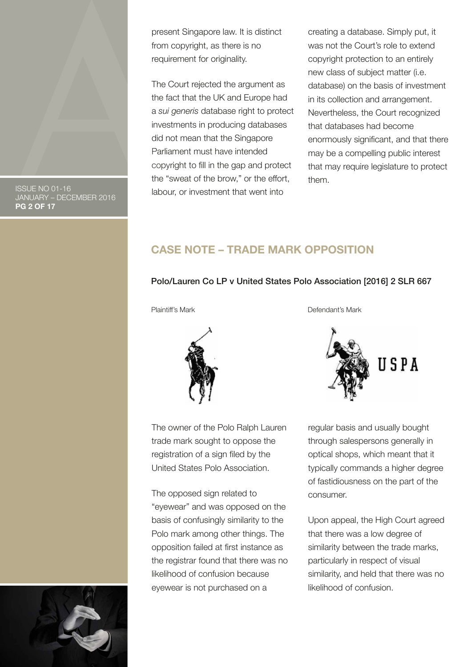present Singapore law. It is distinct from copyright, as there is no requirement for originality.

The Court rejected the argument as the fact that the UK and Europe had a *sui generis* database right to protect investments in producing databases did not mean that the Singapore Parliament must have intended copyright to fill in the gap and protect the "sweat of the brow," or the effort, labour, or investment that went into

creating a database. Simply put, it was not the Court's role to extend copyright protection to an entirely new class of subject matter (i.e. database) on the basis of investment in its collection and arrangement. Nevertheless, the Court recognized that databases had become enormously significant, and that there may be a compelling public interest that may require legislature to protect them.

**CASE NOTE – TRADE MARK OPPOSITION**

### Polo/Lauren Co LP v United States Polo Association [2016] 2 SLR 667



The owner of the Polo Ralph Lauren trade mark sought to oppose the registration of a sign filed by the United States Polo Association.

The opposed sign related to "eyewear" and was opposed on the basis of confusingly similarity to the Polo mark among other things. The opposition failed at first instance as the registrar found that there was no likelihood of confusion because eyewear is not purchased on a

Plaintiff's Mark **Defendant's Mark** 



regular basis and usually bought through salespersons generally in optical shops, which meant that it typically commands a higher degree of fastidiousness on the part of the consumer.

Upon appeal, the High Court agreed that there was a low degree of similarity between the trade marks, particularly in respect of visual similarity, and held that there was no likelihood of confusion.



ISSUE NO 01-16 JANUARY – DECEMBER 2016 **PG 2 OF 17**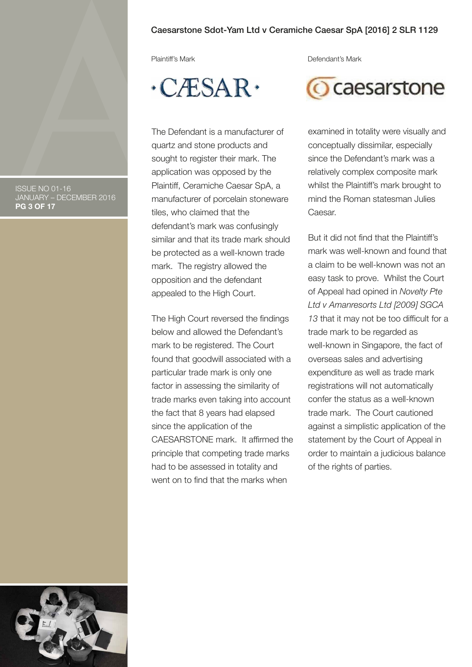#### Caesarstone Sdot-Yam Ltd v Ceramiche Caesar SpA [2016] 2 SLR 1129

# $\cdot$ CÆSAR $\cdot$

The Defendant is a manufacturer of quartz and stone products and sought to register their mark. The application was opposed by the Plaintiff, Ceramiche Caesar SpA, a manufacturer of porcelain stoneware tiles, who claimed that the defendant's mark was confusingly similar and that its trade mark should be protected as a well-known trade mark. The registry allowed the opposition and the defendant appealed to the High Court.

The High Court reversed the findings below and allowed the Defendant's mark to be registered. The Court found that goodwill associated with a particular trade mark is only one factor in assessing the similarity of trade marks even taking into account the fact that 8 years had elapsed since the application of the CAESARSTONE mark. It affirmed the principle that competing trade marks had to be assessed in totality and went on to find that the marks when

Plaintiff's Mark **Defendant's Mark** 



examined in totality were visually and conceptually dissimilar, especially since the Defendant's mark was a relatively complex composite mark whilst the Plaintiff's mark brought to mind the Roman statesman Julies Caesar.

But it did not find that the Plaintiff's mark was well-known and found that a claim to be well-known was not an easy task to prove. Whilst the Court of Appeal had opined in *Novelty Pte Ltd v Amanresorts Ltd [2009] SGCA 13* that it may not be too difficult for a trade mark to be regarded as well-known in Singapore, the fact of overseas sales and advertising expenditure as well as trade mark registrations will not automatically confer the status as a well-known trade mark. The Court cautioned against a simplistic application of the statement by the Court of Appeal in order to maintain a judicious balance of the rights of parties.



ISSUE NO 01-16 JANUARY – DECEMBER 2016 **PG 3 OF 17**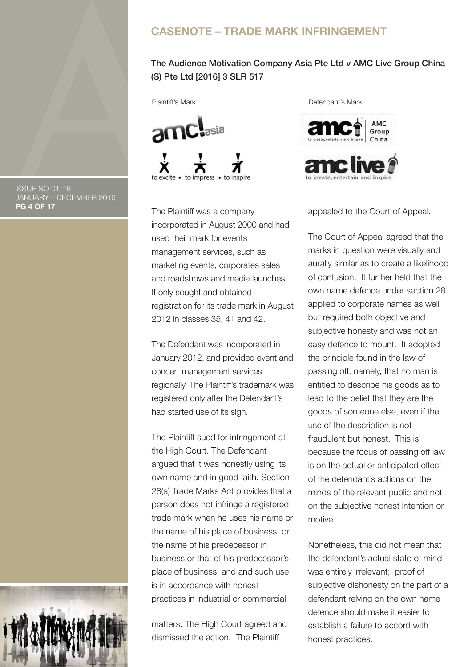### **CASENOTE – TRADE MARK INFRINGEMENT**

### The Audience Motivation Company Asia Pte Ltd v AMC Live Group China (S) Pte Ltd [2016] 3 SLR 517



The Plaintiff was a company incorporated in August 2000 and had used their mark for events management services, such as marketing events, corporates sales and roadshows and media launches. It only sought and obtained registration for its trade mark in August 2012 in classes 35, 41 and 42.

The Defendant was incorporated in January 2012, and provided event and concert management services regionally. The Plaintiff's trademark was registered only after the Defendant's had started use of its sign.

The Plaintiff sued for infringement at the High Court. The Defendant argued that it was honestly using its own name and in good faith. Section 28(a) Trade Marks Act provides that a person does not infringe a registered trade mark when he uses his name or the name of his place of business, or the name of his predecessor in business or that of his predecessor's place of business, and and such use is in accordance with honest practices in industrial or commercial

matters. The High Court agreed and dismissed the action. The Plaintiff

Plaintiff's Mark **Defendant's Mark** 





appealed to the Court of Appeal.

The Court of Appeal agreed that the marks in question were visually and aurally similar as to create a likelihood of confusion. It further held that the own name defence under section 28 applied to corporate names as well but required both objective and subjective honesty and was not an easy defence to mount. It adopted the principle found in the law of passing off, namely, that no man is entitled to describe his goods as to lead to the belief that they are the goods of someone else, even if the use of the description is not fraudulent but honest. This is because the focus of passing off law is on the actual or anticipated effect of the defendant's actions on the minds of the relevant public and not on the subjective honest intention or motive.

Nonetheless, this did not mean that the defendant's actual state of mind was entirely irrelevant; proof of subjective dishonesty on the part of a defendant relying on the own name defence should make it easier to establish a failure to accord with honest practices.

ISSUE NO 01-16 JANUARY – DECEMBER 2016 **PG 4 OF 17**

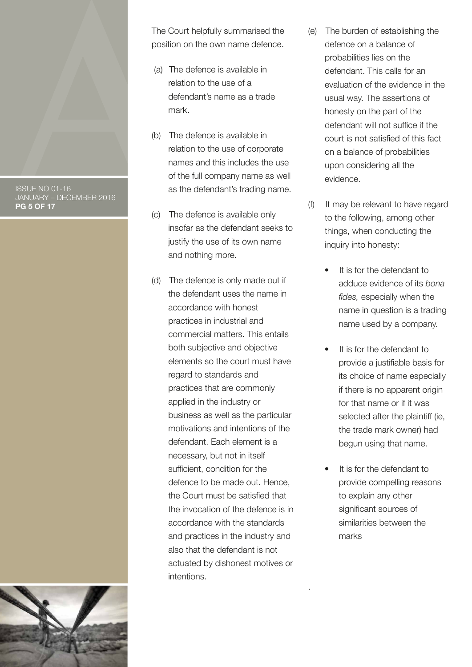ISSUE NO 01-16 JANUARY – DECEMBER 2016 **PG 5 OF 17**



The Court helpfully summarised the position on the own name defence.

- (a) The defence is available in relation to the use of a defendant's name as a trade mark.
- (b) The defence is available in relation to the use of corporate names and this includes the use of the full company name as well as the defendant's trading name.
- (c) The defence is available only insofar as the defendant seeks to justify the use of its own name and nothing more.
- (d) The defence is only made out if the defendant uses the name in accordance with honest practices in industrial and commercial matters. This entails both subjective and objective elements so the court must have regard to standards and practices that are commonly applied in the industry or business as well as the particular motivations and intentions of the defendant. Each element is a necessary, but not in itself sufficient, condition for the defence to be made out. Hence, the Court must be satisfied that the invocation of the defence is in accordance with the standards and practices in the industry and also that the defendant is not actuated by dishonest motives or intentions.
- (e) The burden of establishing the defence on a balance of probabilities lies on the defendant. This calls for an evaluation of the evidence in the usual way. The assertions of honesty on the part of the defendant will not suffice if the court is not satisfied of this fact on a balance of probabilities upon considering all the evidence.
- (f) It may be relevant to have regard to the following, among other things, when conducting the inquiry into honesty:
	- It is for the defendant to adduce evidence of its *bona fides,* especially when the name in question is a trading name used by a company.
	- It is for the defendant to provide a justifiable basis for its choice of name especially if there is no apparent origin for that name or if it was selected after the plaintiff (ie, the trade mark owner) had begun using that name.
	- It is for the defendant to provide compelling reasons to explain any other significant sources of similarities between the marks

.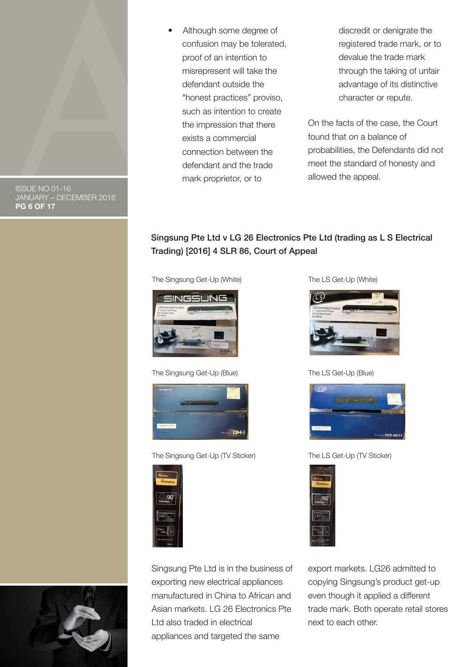

ISSUE NO 01-16 JANUARY – DECEMBER 2016 **PG 6 OF 17**

 • Although some degree of confusion may be tolerated, proof of an intention to misrepresent will take the defendant outside the "honest practices" proviso, such as intention to create the impression that there exists a commercial connection between the defendant and the trade mark proprietor, or to

discredit or denigrate the registered trade mark, or to devalue the trade mark through the taking of unfair advantage of its distinctive character or repute.

On the facts of the case, the Court found that on a balance of probabilities, the Defendants did not meet the standard of honesty and allowed the appeal.

### Singsung Pte Ltd v LG 26 Electronics Pte Ltd (trading as L S Electrical Trading) [2016] 4 SLR 86, Court of Appeal

The Singsung Get-Up (White) The LS Get-Up (White)



The Singsung Get-Up (Blue) The LS Get-Up (Blue)



The Singsung Get-Up (TV Sticker) The LS Get-Up (TV Sticker)



Singsung Pte Ltd is in the business of exporting new electrical appliances manufactured in China to African and Asian markets. LG 26 Electronics Pte Ltd also traded in electrical appliances and targeted the same







export markets. LG26 admitted to copying Singsung's product get-up even though it applied a different trade mark. Both operate retail stores next to each other.

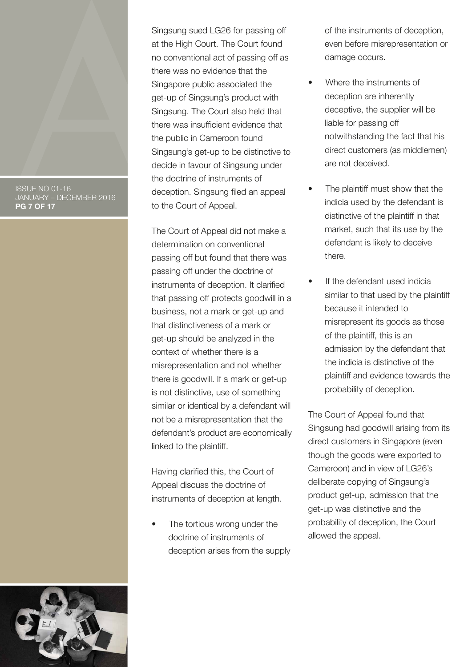#### ISSUE NO 01-16 JANUARY – DECEMBER 2016 **PG 7 OF 17**

Singsung sued LG26 for passing off at the High Court. The Court found no conventional act of passing off as there was no evidence that the Singapore public associated the get-up of Singsung's product with Singsung. The Court also held that there was insufficient evidence that the public in Cameroon found Singsung's get-up to be distinctive to decide in favour of Singsung under the doctrine of instruments of deception. Singsung filed an appeal to the Court of Appeal.

The Court of Appeal did not make a determination on conventional passing off but found that there was passing off under the doctrine of instruments of deception. It clarified that passing off protects goodwill in a business, not a mark or get-up and that distinctiveness of a mark or get-up should be analyzed in the context of whether there is a misrepresentation and not whether there is goodwill. If a mark or get-up is not distinctive, use of something similar or identical by a defendant will not be a misrepresentation that the defendant's product are economically linked to the plaintiff.

Having clarified this, the Court of Appeal discuss the doctrine of instruments of deception at length.

The tortious wrong under the doctrine of instruments of deception arises from the supply of the instruments of deception, even before misrepresentation or damage occurs.

- Where the instruments of deception are inherently deceptive, the supplier will be liable for passing off notwithstanding the fact that his direct customers (as middlemen) are not deceived.
- The plaintiff must show that the indicia used by the defendant is distinctive of the plaintiff in that market, such that its use by the defendant is likely to deceive there.
- If the defendant used indicia similar to that used by the plaintiff because it intended to misrepresent its goods as those of the plaintiff, this is an admission by the defendant that the indicia is distinctive of the plaintiff and evidence towards the probability of deception.

The Court of Appeal found that Singsung had goodwill arising from its direct customers in Singapore (even though the goods were exported to Cameroon) and in view of LG26's deliberate copying of Singsung's product get-up, admission that the get-up was distinctive and the probability of deception, the Court allowed the appeal.

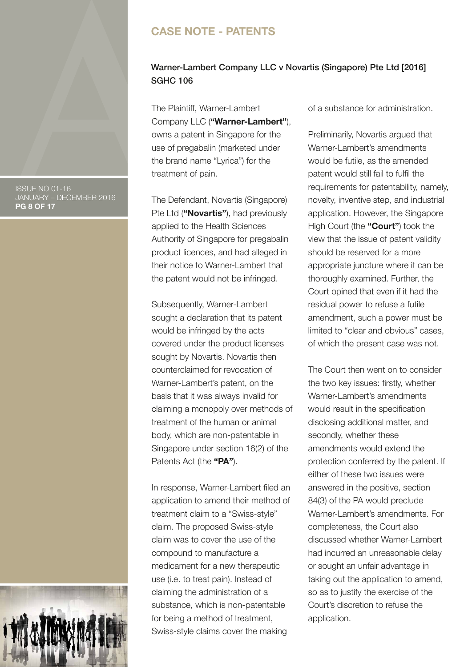### **CASE NOTE - PATENTS**

### Warner-Lambert Company LLC v Novartis (Singapore) Pte Ltd [2016] SGHC 106

The Plaintiff, Warner-Lambert Company LLC (**"Warner-Lambert"**), owns a patent in Singapore for the use of pregabalin (marketed under the brand name "Lyrica") for the treatment of pain.

The Defendant, Novartis (Singapore) Pte Ltd (**"Novartis"**), had previously applied to the Health Sciences Authority of Singapore for pregabalin product licences, and had alleged in their notice to Warner-Lambert that the patent would not be infringed.

Subsequently, Warner-Lambert sought a declaration that its patent would be infringed by the acts covered under the product licenses sought by Novartis. Novartis then counterclaimed for revocation of Warner-Lambert's patent, on the basis that it was always invalid for claiming a monopoly over methods of treatment of the human or animal body, which are non-patentable in Singapore under section 16(2) of the Patents Act (the **"PA"**).

In response, Warner-Lambert filed an application to amend their method of treatment claim to a "Swiss-style" claim. The proposed Swiss-style claim was to cover the use of the compound to manufacture a medicament for a new therapeutic use (i.e. to treat pain). Instead of claiming the administration of a substance, which is non-patentable for being a method of treatment, Swiss-style claims cover the making

of a substance for administration.

Preliminarily, Novartis argued that Warner-Lambert's amendments would be futile, as the amended patent would still fail to fulfil the requirements for patentability, namely, novelty, inventive step, and industrial application. However, the Singapore High Court (the **"Court"**) took the view that the issue of patent validity should be reserved for a more appropriate juncture where it can be thoroughly examined. Further, the Court opined that even if it had the residual power to refuse a futile amendment, such a power must be limited to "clear and obvious" cases, of which the present case was not.

The Court then went on to consider the two key issues: firstly, whether Warner-Lambert's amendments would result in the specification disclosing additional matter, and secondly, whether these amendments would extend the protection conferred by the patent. If either of these two issues were answered in the positive, section 84(3) of the PA would preclude Warner-Lambert's amendments. For completeness, the Court also discussed whether Warner-Lambert had incurred an unreasonable delay or sought an unfair advantage in taking out the application to amend, so as to justify the exercise of the Court's discretion to refuse the application.

ISSUE NO 01-16 JANUARY – DECEMBER 2016 **PG 8 OF 17**

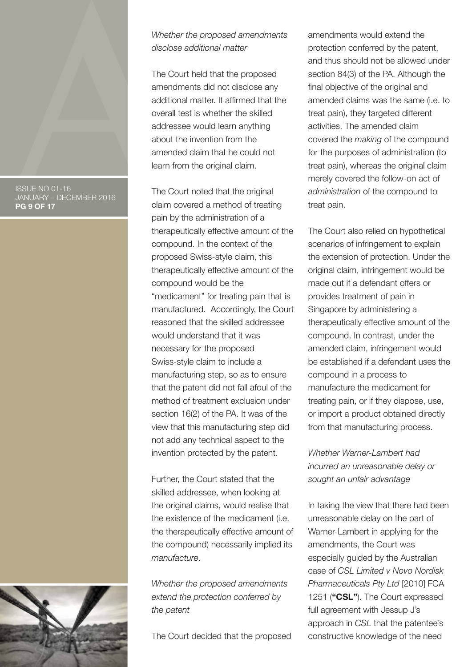#### ISSUE NO 01-16 JANUARY – DECEMBER 2016 **PG 9 OF 17**



*Whether the proposed amendments disclose additional matter*

The Court held that the proposed amendments did not disclose any additional matter. It affirmed that the overall test is whether the skilled addressee would learn anything about the invention from the amended claim that he could not learn from the original claim.

The Court noted that the original claim covered a method of treating pain by the administration of a therapeutically effective amount of the compound. In the context of the proposed Swiss-style claim, this therapeutically effective amount of the compound would be the "medicament" for treating pain that is manufactured. Accordingly, the Court reasoned that the skilled addressee would understand that it was necessary for the proposed Swiss-style claim to include a manufacturing step, so as to ensure that the patent did not fall afoul of the method of treatment exclusion under section 16(2) of the PA. It was of the view that this manufacturing step did not add any technical aspect to the invention protected by the patent.

Further, the Court stated that the skilled addressee, when looking at the original claims, would realise that the existence of the medicament (i.e. the therapeutically effective amount of the compound) necessarily implied its *manufacture*.

*Whether the proposed amendments extend the protection conferred by the patent*

The Court decided that the proposed

amendments would extend the protection conferred by the patent, and thus should not be allowed under section 84(3) of the PA. Although the final objective of the original and amended claims was the same (i.e. to treat pain), they targeted different activities. The amended claim covered the *making* of the compound for the purposes of administration (to treat pain), whereas the original claim merely covered the follow-on act of *administration* of the compound to treat pain.

The Court also relied on hypothetical scenarios of infringement to explain the extension of protection. Under the original claim, infringement would be made out if a defendant offers or provides treatment of pain in Singapore by administering a therapeutically effective amount of the compound. In contrast, under the amended claim, infringement would be established if a defendant uses the compound in a process to manufacture the medicament for treating pain, or if they dispose, use, or import a product obtained directly from that manufacturing process.

*Whether Warner-Lambert had incurred an unreasonable delay or sought an unfair advantage*

In taking the view that there had been unreasonable delay on the part of Warner-Lambert in applying for the amendments, the Court was especially guided by the Australian case of *CSL Limited v Novo Nordisk Pharmaceuticals Pty Ltd* [2010] FCA 1251 (**"CSL"**). The Court expressed full agreement with Jessup J's approach in *CSL* that the patentee's constructive knowledge of the need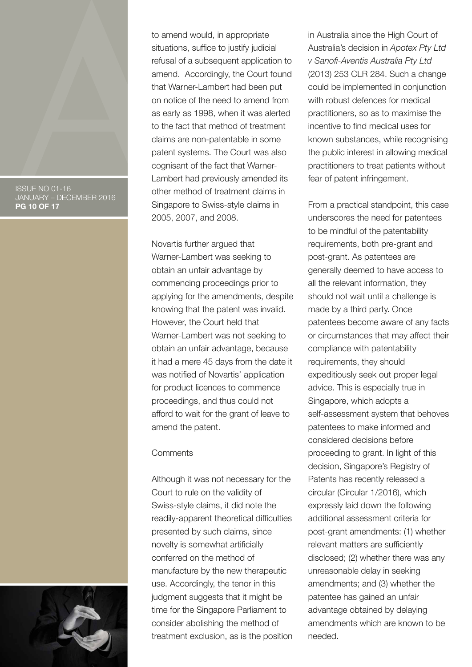#### ISSUE NO 01-16 JANUARY – DECEMBER 2016 **PG 10 OF 17**



Novartis further argued that Warner-Lambert was seeking to obtain an unfair advantage by commencing proceedings prior to applying for the amendments, despite knowing that the patent was invalid. However, the Court held that Warner-Lambert was not seeking to obtain an unfair advantage, because it had a mere 45 days from the date it was notified of Novartis' application for product licences to commence proceedings, and thus could not afford to wait for the grant of leave to amend the patent.

#### **Comments**

Although it was not necessary for the Court to rule on the validity of Swiss-style claims, it did note the readily-apparent theoretical difficulties presented by such claims, since novelty is somewhat artificially conferred on the method of manufacture by the new therapeutic use. Accordingly, the tenor in this judgment suggests that it might be time for the Singapore Parliament to consider abolishing the method of treatment exclusion, as is the position in Australia since the High Court of Australia's decision in *Apotex Pty Ltd v Sanofi-Aventis Australia Pty Ltd*  (2013) 253 CLR 284. Such a change could be implemented in conjunction with robust defences for medical practitioners, so as to maximise the incentive to find medical uses for known substances, while recognising the public interest in allowing medical practitioners to treat patients without fear of patent infringement.

From a practical standpoint, this case underscores the need for patentees to be mindful of the patentability requirements, both pre-grant and post-grant. As patentees are generally deemed to have access to all the relevant information, they should not wait until a challenge is made by a third party. Once patentees become aware of any facts or circumstances that may affect their compliance with patentability requirements, they should expeditiously seek out proper legal advice. This is especially true in Singapore, which adopts a self-assessment system that behoves patentees to make informed and considered decisions before proceeding to grant. In light of this decision, Singapore's Registry of Patents has recently released a circular (Circular 1/2016), which expressly laid down the following additional assessment criteria for post-grant amendments: (1) whether relevant matters are sufficiently disclosed; (2) whether there was any unreasonable delay in seeking amendments; and (3) whether the patentee has gained an unfair advantage obtained by delaying amendments which are known to be needed.

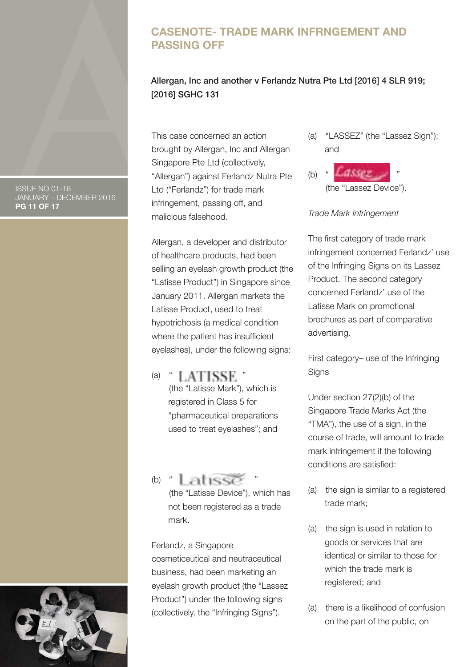### **CASENOTE- TRADE MARK INFRNGEMENT AND PASSING OFF**

### Allergan, Inc and another v Ferlandz Nutra Pte Ltd [2016] 4 SLR 919; [2016] SGHC 131

This case concerned an action brought by Allergan, Inc and Allergan Singapore Pte Ltd (collectively, "Allergan") against Ferlandz Nutra Pte Ltd ("Ferlandz") for trade mark infringement, passing off, and malicious falsehood.

Allergan, a developer and distributor of healthcare products, had been selling an eyelash growth product (the "Latisse Product") in Singapore since January 2011. Allergan markets the Latisse Product, used to treat hypotrichosis (a medical condition where the patient has insufficient eyelashes), under the following signs:

- (a)  $\blacksquare$   $\blacksquare$   $\blacksquare$   $\blacksquare$   $\blacksquare$   $\blacksquare$   $\blacksquare$   $\blacksquare$   $\blacksquare$  (the "Latisse Mark"), which is registered in Class 5 for "pharmaceutical preparations used to treat eyelashes"; and
- $(b)$   $\blacksquare$  at  $\blacksquare$  (the "Latisse Device"), which has not been registered as a trade mark.

## Ferlandz, a Singapore

cosmeticeutical and neutraceutical business, had been marketing an eyelash growth product (the "Lassez Product") under the following signs (collectively, the "Infringing Signs").

(a) "LASSEZ" (the "Lassez Sign"); and



### *Trade Mark Infringement*

The first category of trade mark infringement concerned Ferlandz' use of the Infringing Signs on its Lassez Product. The second category concerned Ferlandz' use of the Latisse Mark on promotional brochures as part of comparative advertising.

First category– use of the Infringing **Signs** 

Under section 27(2)(b) of the Singapore Trade Marks Act (the "TMA"), the use of a sign, in the course of trade, will amount to trade mark infringement if the following conditions are satisfied:

- (a) the sign is similar to a registered trade mark;
- (a) the sign is used in relation to goods or services that are identical or similar to those for which the trade mark is registered; and
- (a) there is a likelihood of confusion on the part of the public, on

ISSUE NO 01-16 JANUARY – DECEMBER 2016 **PG 11 OF 17**

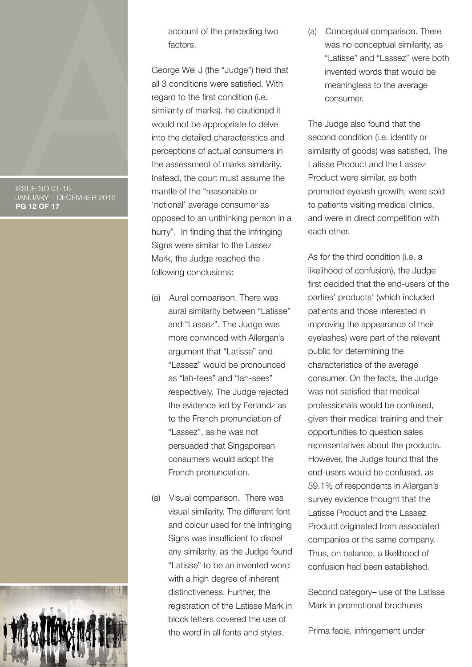ISSUE NO 01-16 JANUARY – DECEMBER 2016 **PG 12 OF 17**



account of the preceding two factors.

George Wei J (the "Judge") held that all 3 conditions were satisfied. With regard to the first condition (i.e. similarity of marks), he cautioned it would not be appropriate to delve into the detailed characteristics and perceptions of actual consumers in the assessment of marks similarity. Instead, the court must assume the mantle of the "reasonable or 'notional' average consumer as opposed to an unthinking person in a hurry". In finding that the Infringing Signs were similar to the Lassez Mark, the Judge reached the following conclusions:

- (a) Aural comparison. There was aural similarity between "Latisse" and "Lassez". The Judge was more convinced with Allergan's argument that "Latisse" and "Lassez" would be pronounced as "lah-tees" and "lah-sees" respectively. The Judge rejected the evidence led by Ferlandz as to the French pronunciation of "Lassez", as he was not persuaded that Singaporean consumers would adopt the French pronunciation.
- (a) Visual comparison. There was visual similarity. The different font and colour used for the Infringing Signs was insufficient to dispel any similarity, as the Judge found "Latisse" to be an invented word with a high degree of inherent distinctiveness. Further, the registration of the Latisse Mark in block letters covered the use of the word in all fonts and styles.

(a) Conceptual comparison. There was no conceptual similarity, as "Latisse" and "Lassez" were both invented words that would be meaningless to the average consumer.

The Judge also found that the second condition (i.e. identity or similarity of goods) was satisfied. The Latisse Product and the Lassez Product were similar, as both promoted eyelash growth, were sold to patients visiting medical clinics, and were in direct competition with each other.

As for the third condition (i.e. a likelihood of confusion), the Judge first decided that the end-users of the parties' products' (which included patients and those interested in improving the appearance of their eyelashes) were part of the relevant public for determining the characteristics of the average consumer. On the facts, the Judge was not satisfied that medical professionals would be confused, given their medical training and their opportunities to question sales representatives about the products. However, the Judge found that the end-users would be confused, as 59.1% of respondents in Allergan's survey evidence thought that the Latisse Product and the Lassez Product originated from associated companies or the same company. Thus, on balance, a likelihood of confusion had been established.

Second category– use of the Latisse Mark in promotional brochures

Prima facie, infringement under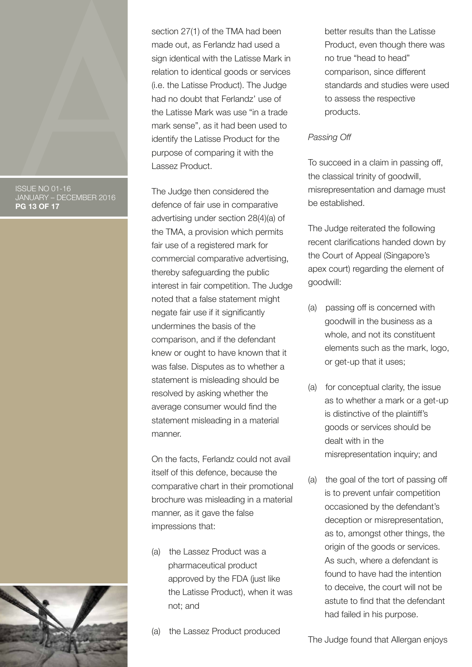#### ISSUE NO 01-16 JANUARY – DECEMBER 2016 **PG 13 OF 17**



section 27(1) of the TMA had been made out, as Ferlandz had used a sign identical with the Latisse Mark in relation to identical goods or services (i.e. the Latisse Product). The Judge had no doubt that Ferlandz' use of the Latisse Mark was use "in a trade mark sense", as it had been used to identify the Latisse Product for the purpose of comparing it with the Lassez Product.

The Judge then considered the defence of fair use in comparative advertising under section 28(4)(a) of the TMA, a provision which permits fair use of a registered mark for commercial comparative advertising, thereby safeguarding the public interest in fair competition. The Judge noted that a false statement might negate fair use if it significantly undermines the basis of the comparison, and if the defendant knew or ought to have known that it was false. Disputes as to whether a statement is misleading should be resolved by asking whether the average consumer would find the statement misleading in a material manner.

On the facts, Ferlandz could not avail itself of this defence, because the comparative chart in their promotional brochure was misleading in a material manner, as it gave the false impressions that:

- (a) the Lassez Product was a pharmaceutical product approved by the FDA (just like the Latisse Product), when it was not; and
- (a) the Lassez Product produced

better results than the Latisse Product, even though there was no true "head to head" comparison, since different standards and studies were used to assess the respective products.

### *Passing Off*

To succeed in a claim in passing off, the classical trinity of goodwill, misrepresentation and damage must be established.

The Judge reiterated the following recent clarifications handed down by the Court of Appeal (Singapore's apex court) regarding the element of goodwill:

- (a) passing off is concerned with goodwill in the business as a whole, and not its constituent elements such as the mark, logo, or get-up that it uses;
- (a) for conceptual clarity, the issue as to whether a mark or a get-up is distinctive of the plaintiff's goods or services should be dealt with in the misrepresentation inquiry; and
- (a) the goal of the tort of passing off is to prevent unfair competition occasioned by the defendant's deception or misrepresentation, as to, amongst other things, the origin of the goods or services. As such, where a defendant is found to have had the intention to deceive, the court will not be astute to find that the defendant had failed in his purpose.

The Judge found that Allergan enjoys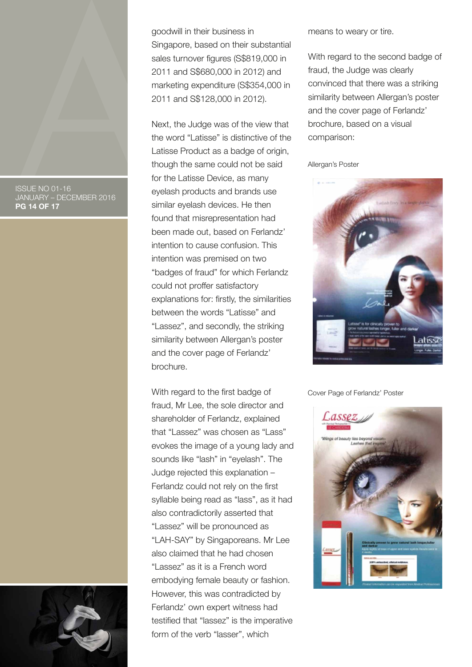ISSUE NO 01-16 JANUARY – DECEMBER 2016 **PG 14 OF 17**



goodwill in their business in Singapore, based on their substantial sales turnover figures (S\$819,000 in 2011 and S\$680,000 in 2012) and marketing expenditure (S\$354,000 in 2011 and S\$128,000 in 2012).

Next, the Judge was of the view that the word "Latisse" is distinctive of the Latisse Product as a badge of origin, though the same could not be said for the Latisse Device, as many eyelash products and brands use similar eyelash devices. He then found that misrepresentation had been made out, based on Ferlandz' intention to cause confusion. This intention was premised on two "badges of fraud" for which Ferlandz could not proffer satisfactory explanations for: firstly, the similarities between the words "Latisse" and "Lassez", and secondly, the striking similarity between Allergan's poster and the cover page of Ferlandz' brochure.

With regard to the first badge of fraud, Mr Lee, the sole director and shareholder of Ferlandz, explained that "Lassez" was chosen as "Lass" evokes the image of a young lady and sounds like "lash" in "eyelash". The Judge rejected this explanation – Ferlandz could not rely on the first syllable being read as "lass", as it had also contradictorily asserted that "Lassez" will be pronounced as "LAH-SAY" by Singaporeans. Mr Lee also claimed that he had chosen "Lassez" as it is a French word embodying female beauty or fashion. However, this was contradicted by Ferlandz' own expert witness had testified that "lassez" is the imperative form of the verb "lasser", which

means to weary or tire.

With regard to the second badge of fraud, the Judge was clearly convinced that there was a striking similarity between Allergan's poster and the cover page of Ferlandz' brochure, based on a visual comparison:

Allergan's Poster



Cover Page of Ferlandz' Poster

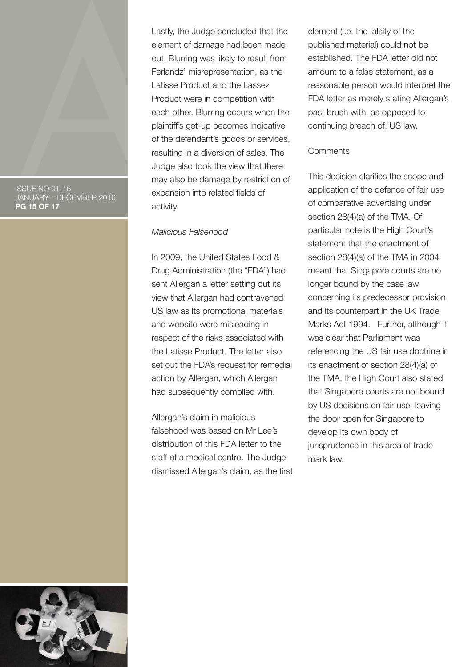#### ISSUE NO 01-16 JANUARY – DECEMBER 2016 **PG 15 OF 17**

Lastly, the Judge concluded that the element of damage had been made out. Blurring was likely to result from Ferlandz' misrepresentation, as the Latisse Product and the Lassez Product were in competition with each other. Blurring occurs when the plaintiff's get-up becomes indicative of the defendant's goods or services, resulting in a diversion of sales. The Judge also took the view that there may also be damage by restriction of expansion into related fields of activity.

#### *Malicious Falsehood*

In 2009, the United States Food & Drug Administration (the "FDA") had sent Allergan a letter setting out its view that Allergan had contravened US law as its promotional materials and website were misleading in respect of the risks associated with the Latisse Product. The letter also set out the FDA's request for remedial action by Allergan, which Allergan had subsequently complied with.

Allergan's claim in malicious falsehood was based on Mr Lee's distribution of this FDA letter to the staff of a medical centre. The Judge dismissed Allergan's claim, as the first element (i.e. the falsity of the published material) could not be established. The FDA letter did not amount to a false statement, as a reasonable person would interpret the FDA letter as merely stating Allergan's past brush with, as opposed to continuing breach of, US law.

#### **Comments**

This decision clarifies the scope and application of the defence of fair use of comparative advertising under section 28(4)(a) of the TMA. Of particular note is the High Court's statement that the enactment of section 28(4)(a) of the TMA in 2004 meant that Singapore courts are no longer bound by the case law concerning its predecessor provision and its counterpart in the UK Trade Marks Act 1994. Further, although it was clear that Parliament was referencing the US fair use doctrine in its enactment of section 28(4)(a) of the TMA, the High Court also stated that Singapore courts are not bound by US decisions on fair use, leaving the door open for Singapore to develop its own body of jurisprudence in this area of trade mark law.

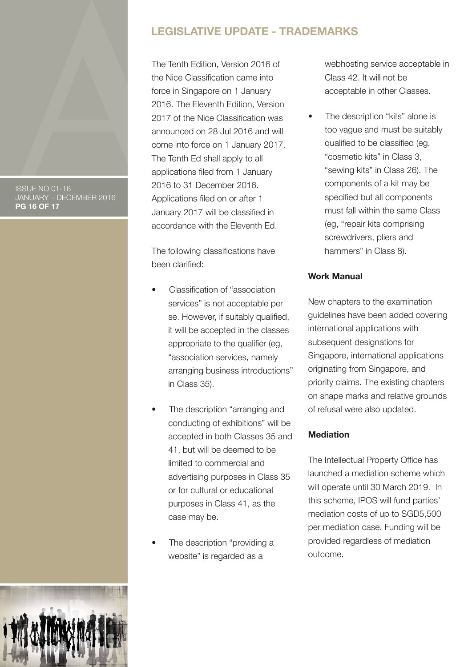#### ISSUE NO 01-16 JANUARY – DECEMBER 2016 **PG 16 OF 17**

### **LEGISLATIVE UPDATE - TRADEMARKS**

The Tenth Edition, Version 2016 of the Nice Classification came into force in Singapore on 1 January 2016. The Eleventh Edition, Version 2017 of the Nice Classification was announced on 28 Jul 2016 and will come into force on 1 January 2017. The Tenth Ed shall apply to all applications filed from 1 January 2016 to 31 December 2016. Applications filed on or after 1 January 2017 will be classified in accordance with the Eleventh Ed.

The following classifications have been clarified:

- Classification of "association services" is not acceptable per se. However, if suitably qualified, it will be accepted in the classes appropriate to the qualifier (eg, "association services, namely arranging business introductions" in Class 35).
- The description "arranging and conducting of exhibitions" will be accepted in both Classes 35 and 41, but will be deemed to be limited to commercial and advertising purposes in Class 35 or for cultural or educational purposes in Class 41, as the case may be.
- The description "providing a website" is regarded as a

webhosting service acceptable in Class 42. It will not be acceptable in other Classes.

The description "kits" alone is too vague and must be suitably qualified to be classified (eg, "cosmetic kits" in Class 3, "sewing kits" in Class 26). The components of a kit may be specified but all components must fall within the same Class (eg, "repair kits comprising screwdrivers, pliers and hammers" in Class 8).

### **Work Manual**

New chapters to the examination guidelines have been added covering international applications with subsequent designations for Singapore, international applications originating from Singapore, and priority claims. The existing chapters on shape marks and relative grounds of refusal were also updated.

### **Mediation**

The Intellectual Property Office has launched a mediation scheme which will operate until 30 March 2019. In this scheme, IPOS will fund parties' mediation costs of up to SGD5,500 per mediation case. Funding will be provided regardless of mediation outcome.